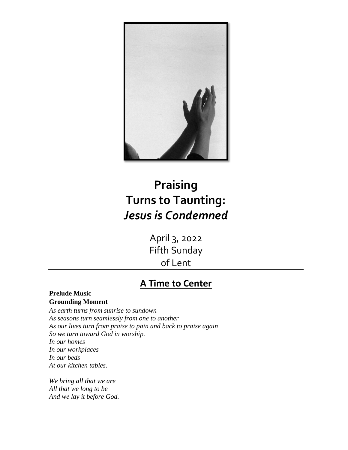

# **Praising Turns to Taunting:** *Jesus is Condemned*

April 3, 2022 Fifth Sunday of Lent

### **A Time to Center**

#### **Prelude Music Grounding Moment**

*As earth turns from sunrise to sundown As seasons turn seamlessly from one to another As our lives turn from praise to pain and back to praise again So we turn toward God in worship. In our homes In our workplaces In our beds At our kitchen tables.*

*We bring all that we are All that we long to be And we lay it before God.*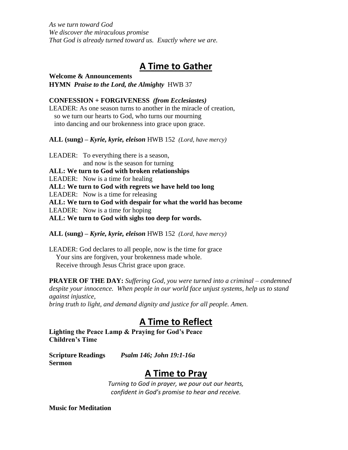*As we turn toward God We discover the miraculous promise That God is already turned toward us. Exactly where we are.*

### **A Time to Gather**

**Welcome & Announcements HYMN** *Praise to the Lord, the Almighty*HWB 37

#### **CONFESSION + FORGIVENESS** *(from Ecclesiastes)*

LEADER: As one season turns to another in the miracle of creation, so we turn our hearts to God, who turns our mourning into dancing and our brokenness into grace upon grace.

**ALL (sung)** *– Kyrie, kyrie, eleison* HWB 152 *(Lord, have mercy)* 

LEADER: To everything there is a season, and now is the season for turning **ALL: We turn to God with broken relationships** LEADER: Now is a time for healing **ALL: We turn to God with regrets we have held too long** LEADER: Now is a time for releasing **ALL: We turn to God with despair for what the world has become** LEADER: Now is a time for hoping **ALL: We turn to God with sighs too deep for words.**

**ALL (sung)** *– Kyrie, kyrie, eleison* HWB 152 *(Lord, have mercy)* 

LEADER: God declares to all people, now is the time for grace Your sins are forgiven, your brokenness made whole. Receive through Jesus Christ grace upon grace.

**PRAYER OF THE DAY:** *Suffering God, you were turned into a criminal – condemned despite your innocence. When people in our world face unjust systems, help us to stand against injustice,*

*bring truth to light, and demand dignity and justice for all people. Amen.*

### **A Time to Reflect**

**Lighting the Peace Lamp & Praying for God's Peace Children's Time**

**Scripture Readings** *Psalm 146; John 19:1-16a* **Sermon**

### **A Time to Pray**

*Turning to God in prayer, we pour out our hearts, confident in God's promise to hear and receive.*

**Music for Meditation**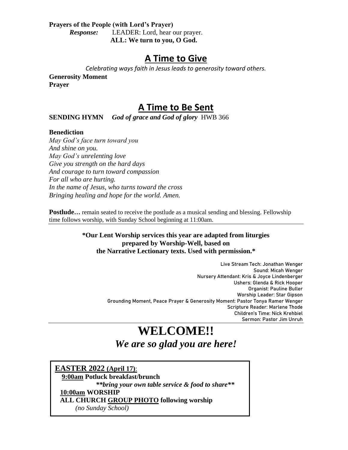#### **Prayers of the People (with Lord's Prayer)** *Response:* LEADER: Lord, hear our prayer. **ALL: We turn to you, O God.**

### **A Time to Give**

*Celebrating ways faith in Jesus leads to generosity toward others.*

**Generosity Moment Prayer**

### **A Time to Be Sent**

**SENDING HYMN** *God of grace and God of glory*HWB 366

#### **Benediction**

*May God's face turn toward you And shine on you. May God's unrelenting love Give you strength on the hard days And courage to turn toward compassion For all who are hurting. In the name of Jesus, who turns toward the cross Bringing healing and hope for the world. Amen.*

**Postlude...** remain seated to receive the postlude as a musical sending and blessing. Fellowship time follows worship, with Sunday School beginning at 11:00am.

#### **\*Our Lent Worship services this year are adapted from liturgies prepared by Worship-Well, based on the Narrative Lectionary texts. Used with permission.\***

Live Stream Tech: Jonathan Wenger Sound: Micah Wenger Nursery Attendant: Kris & Joyce Lindenberger Ushers: Glenda & Rick Hooper Organist: Pauline Buller Worship Leader: Star Gipson Grounding Moment, Peace Prayer & Generosity Moment: Pastor Tonya Ramer Wenger Scripture Reader: Marlene Thode Children's Time: Nick Krehbiel Sermon: Pastor Jim Unruh

## **WELCOME!!**  *We are so glad you are here!*

**EASTER 2022 (April 17)**: **9:00am Potluck breakfast/brunch** *\*\*bring your own table service & food to share\*\** **10:00am WORSHIP ALL CHURCH GROUP PHOTO following worship**  *(no Sunday School)*